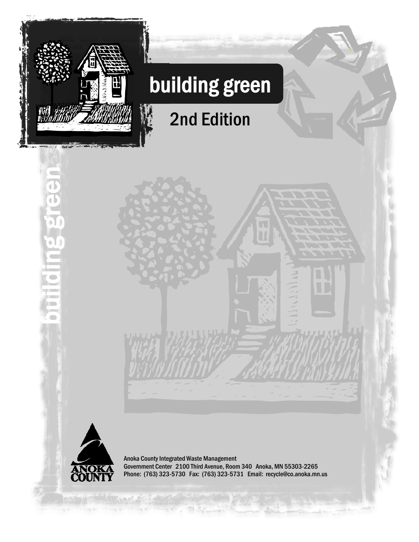

building green

a

đ

ď

# building green

2nd Edition



Anoka County Integrated Waste Management Government Center 2100 Third Avenue, Room 340 Anoka, MN 55303-2265 Phone: (763) 323-5730 Fax: (763) 323-5731 Email: recycle@co.anoka.mn.us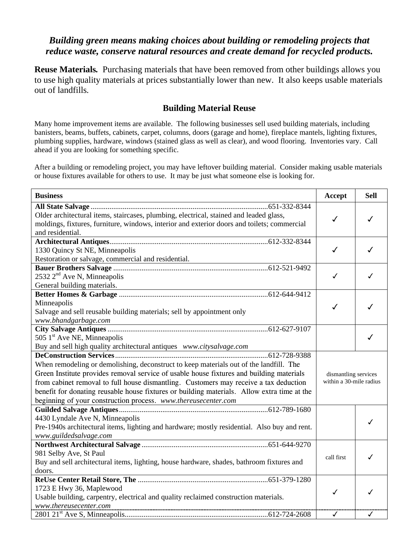## *Building green means making choices about building or remodeling projects that reduce waste, conserve natural resources and create demand for recycled products.*

**Reuse Materials.** Purchasing materials that have been removed from other buildings allows you to use high quality materials at prices substantially lower than new. It also keeps usable materials out of landfills*.* 

#### **Building Material Reuse**

Many home improvement items are available. The following businesses sell used building materials, including banisters, beams, buffets, cabinets, carpet, columns, doors (garage and home), fireplace mantels, lighting fixtures, plumbing supplies, hardware, windows (stained glass as well as clear), and wood flooring. Inventories vary. Call ahead if you are looking for something specific.

After a building or remodeling project, you may have leftover building material. Consider making usable materials or house fixtures available for others to use. It may be just what someone else is looking for.

| <b>Business</b>                                                                                                                              | Accept                                          | <b>Sell</b> |
|----------------------------------------------------------------------------------------------------------------------------------------------|-------------------------------------------------|-------------|
| Older architectural items, staircases, plumbing, electrical, stained and leaded glass,                                                       |                                                 |             |
| moldings, fixtures, furniture, windows, interior and exterior doors and toilets; commercial                                                  | ✓                                               | ✓           |
| and residential.                                                                                                                             |                                                 |             |
|                                                                                                                                              |                                                 |             |
| 1330 Quincy St NE, Minneapolis                                                                                                               | ✓                                               | ℐ           |
| Restoration or salvage, commercial and residential.                                                                                          |                                                 |             |
|                                                                                                                                              |                                                 |             |
| $2532$ $2nd$ Ave N, Minneapolis                                                                                                              | ✓                                               | ✓           |
| General building materials.                                                                                                                  |                                                 |             |
|                                                                                                                                              |                                                 |             |
| Minneapolis                                                                                                                                  | ✓                                               | ℐ           |
| Salvage and sell reusable building materials; sell by appointment only                                                                       |                                                 |             |
| www.bhandgarbage.com<br><u> 1980 - Johann Barn, mars ann an t-Amhain Aonaich an t-Aonaich an t-Aonaich ann an t-Aonaich ann an t-Aonaich</u> |                                                 |             |
| 505 1 <sup>st</sup> Ave NE, Minneapolis                                                                                                      |                                                 | ✓           |
|                                                                                                                                              |                                                 |             |
| Buy and sell high quality architectural antiques www.citysalvage.com                                                                         |                                                 |             |
| When remodeling or demolishing, deconstruct to keep materials out of the landfill. The                                                       |                                                 |             |
| Green Institute provides removal service of usable house fixtures and building materials                                                     |                                                 |             |
| from cabinet removal to full house dismantling. Customers may receive a tax deduction                                                        | dismantling services<br>within a 30-mile radius |             |
| benefit for donating reusable house fixtures or building materials. Allow extra time at the                                                  |                                                 |             |
| beginning of your construction process. www.thereusecenter.com                                                                               |                                                 |             |
|                                                                                                                                              |                                                 |             |
| 4430 Lyndale Ave N, Minneapolis                                                                                                              |                                                 |             |
| Pre-1940s architectural items, lighting and hardware; mostly residential. Also buy and rent.                                                 |                                                 | ✓           |
| www.guildedsalvage.com                                                                                                                       |                                                 |             |
|                                                                                                                                              |                                                 |             |
| 981 Selby Ave, St Paul                                                                                                                       |                                                 |             |
| Buy and sell architectural items, lighting, house hardware, shades, bathroom fixtures and                                                    | call first                                      | ✓           |
| doors.                                                                                                                                       |                                                 |             |
|                                                                                                                                              |                                                 |             |
| 1723 E Hwy 36, Maplewood                                                                                                                     | ✓                                               | ℐ           |
| Usable building, carpentry, electrical and quality reclaimed construction materials.                                                         |                                                 |             |
| www.thereusecenter.com                                                                                                                       |                                                 |             |
|                                                                                                                                              | $\checkmark$                                    | ✓           |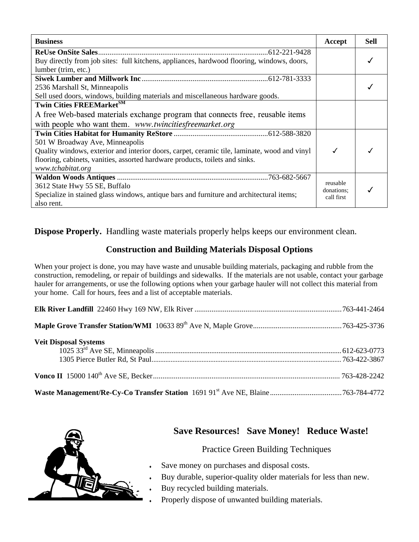| <b>Business</b>                                                                              | Accept                 | <b>Sell</b> |
|----------------------------------------------------------------------------------------------|------------------------|-------------|
|                                                                                              |                        |             |
| Buy directly from job sites: full kitchens, appliances, hardwood flooring, windows, doors,   |                        |             |
| lumber (trim, etc.)                                                                          |                        |             |
|                                                                                              |                        |             |
| 2536 Marshall St, Minneapolis                                                                |                        |             |
| Sell used doors, windows, building materials and miscellaneous hardware goods.               |                        |             |
| <b>Twin Cities FREEMarketSM</b>                                                              |                        |             |
| A free Web-based materials exchange program that connects free, reusable items               |                        |             |
| with people who want them. www.twincitiesfreemarket.org                                      |                        |             |
|                                                                                              |                        |             |
| 501 W Broadway Ave, Minneapolis                                                              |                        |             |
| Quality windows, exterior and interior doors, carpet, ceramic tile, laminate, wood and vinyl |                        |             |
| flooring, cabinets, vanities, assorted hardware products, toilets and sinks.                 |                        |             |
| www.tchabitat.org                                                                            |                        |             |
|                                                                                              |                        |             |
| 3612 State Hwy 55 SE, Buffalo                                                                | reusable<br>donations: |             |
| Specialize in stained glass windows, antique bars and furniture and architectural items;     | call first             |             |
| also rent.                                                                                   |                        |             |

**Dispose Properly.** Handling waste materials properly helps keeps our environment clean.

# **Construction and Building Materials Disposal Options**

When your project is done, you may have waste and unusable building materials, packaging and rubble from the construction, remodeling, or repair of buildings and sidewalks. If the materials are not usable, contact your garbage hauler for arrangements, or use the following options when your garbage hauler will not collect this material from your home. Call for hours, fees and a list of acceptable materials.

| <b>Veit Disposal Systems</b> |  |
|------------------------------|--|
|                              |  |
|                              |  |



# **Save Resources! Save Money! Reduce Waste!**

#### Practice Green Building Techniques

- Save money on purchases and disposal costs.
- Buy durable, superior-quality older materials for less than new.
- Buy recycled building materials.
- Properly dispose of unwanted building materials.